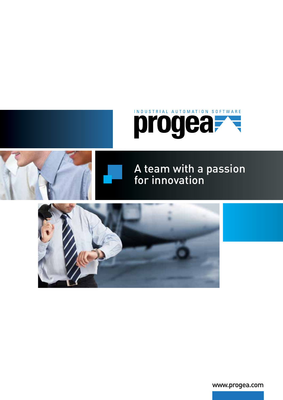# INDUSTRIAL AUTOMATION SOFTWARE progea



## A team with a passion for innovation



www.progea.com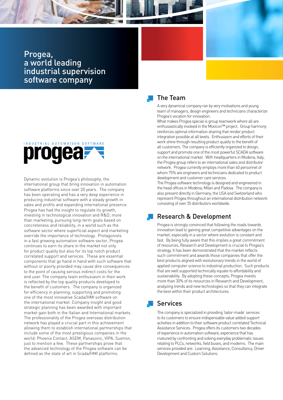Progea, a world leading industrial supervision software company

## INDUSTRIAL AUTOMATION SOFTWARE progea-

Dynamic evolution is Progea's philosophy, the international group that bring innovation in automation software platforms since over 20 years. The company has been operating and has a very deep experience in producing industrial software with a steady growth in sales and profits and expanding international presence. Progea has had the insight to regulate its growth, investing in technological innovation and R&D, more than marketing, pursuing long-term goals based on concreteness and reliability, in a world such as the software sector where superficial aspect and marketing override the importance of technology. Protagonists in a fast growing automation software sector, Progea continues to earn its share in the market not only for product quality but also for its top notch product correlated support and services. These are essential components that go hand in hand with such software that without or poorly provided may cause dire consequences to the point of causing serious indirect costs for the end user. The company team enthusiasm in their work is reflected by the top quality products developed to the benefit of customers. The company is organized for efficiency in planning, supporting and promoting one of the most innovative Scada/HMI software on the international market. Company insight and good strategic planning has been awarded with important market gain both in the Italian and International markets. The professionality of the Progea overseas distribution network has played a crucial part in this achievement allowing them to establish international partnerships that include some of the most prestigious companies in the world: Phoenix Contact, ASEM, Panasonic, VIPA, Suetron, just to mention a few. These partnerships prove that the advanced technology of the Progea software can be defined as the state of art in Scada/HMI platforms.



A very dynamical company ran by very motivations and young team of managers, design engineers and technicians characterize Progea's vocation for innovation.

What makes Progea special is group teamwork where all are enthusiastically involved in the Movicon™ project. Group harmony reinforces optimal information sharing that render product integration possible at all levels. Enthusiasm and efforts of their work shine through resulting product quality to the benefit of all customers. The company is efficiently organized to design, support and promote one of the most powerful SCADA software on the international market. With headquarters in Modena, Italy, the Progea group refers to an international sales and distributor network. Progea currently employs more than 40 personnel of whom 75% are engineers and technicians dedicated to product development and customer care services.

The Progea software technology is designed and engineered in the head offices in Modena, Milan and Padova. The company is also present directly in Germany, the USA and Switzerland who represent Progea throughout an international distribution network consisting of over 35 distributors worldwide.

## Research & Development

Progea is strongly convinced that following the roads towards innovation lead to gaining great competitive advantages on the market, especially in a sector where evolution is constant and fast. By being fully aware that this implies a great commitment of resources, Research and Development is crucial to Progea's strategy. It has been demonstrated that the market reflects such commitment and awards those companies that offer the best products aligned with evolutionary trends in the world of applied computer science to industrial production. Such products that are well supported technically equate to affordability and sustainability. By adopting these concepts, Progea invests more than 30% of its resources in Research and Development, analyzing trends and new technologies so that they can integrate the best within their product architectures.

## Services

The company is specialized in providing 'tailor-made' services to its customers to ensure indispensable value added support activities in addition to their software product correlated Technical Assistance Services. Progea offers its customers two decades of experience in automation software, experience that has matured by confronting and solving everyday problematic issues relating to PLCs, networks, field buses, and modems. The main services provided are: Learning, Assistance, Consultancy, Driver Development and Custom Solutions.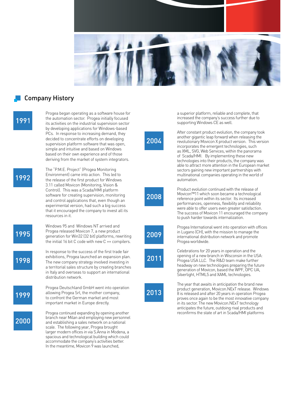

## Company History

 $99'$ 

Progea began operating as a software house for the automation sector. Progea initially focused its activities on the industrial supervision sector by developing applications for Windows-based PCs. In response to increasing demand, they decided to concentrate efforts on developing supervision platform software that was open, simple and intuitive and based on Windows based on their own experience and of those deriving from the market of system integrators.

 $99'$ 

995

998

999

2000

The "P.M.E. Project" (Progea Monitoring Environment) came into action. This led to the release of the first product for Windows 3.11 called Movicon (Monitoring, Vision & Control). This was a Scada/HMI platform software for creating supervision, monitoring and control applications that, even though an experimental version, had such a big success that it encouraged the company to invest all its resources in it.

Windows 95 and Windows NT arrived and Progea released Movicon 7, a new product generation for Win32 (32 bit) platforms, rewriting the initial 16 bit C code with new C ++ compilers.

In response to the success of the first trade fair exhibitions, Progea launched an expansion plan. The new company strategy involved investing in a territorial sales structure by creating branches in Italy and overseas to support an international distribution network.

Progea Deutschland GmbH went into operation allowing Progea Srl, the mother company, to confront the German market and most important market in Europe directly.

Progea continued expanding by opening another branch near Milan and employing new personnel and establishing a sales network on a national scale. The following year, Progea brought larger modern offices in via S.Anna in Modena, a spacious and technological building which could accommodate the company's activities better. In the meantime, Movicon  $9$  was launched.

a superior platform, reliable and complete, that increased the company's success further due to supporting Windows CE as well.

2004

After constant product evolution, the company took another gigantic leap forward when releasing the revolutionary Movicon X product version. This version incorporates the emergent technologies, such as XML, SVG, Web Services, within the panorama of Scada/HMI. By implementing these new technologies into their products, the company was able to attract more attention in the European market sectors gaining new important partnerships with multinational companies operating in the world of automation.

2008

Product evolution continued with the release of Movicon™11 which soon became a technological reference point within its sector. Its increased performances, openness, flexibility and reliability were able to offer users even greater satisfaction. The success of Movicon 11 encouraged the company to push harder towards internalization.



 $201'$ 

Progea International went into operation with offices in Lugano (CH), with the mission to manage the international distribution network and promote Progea worldwide.

Celebrations for 20 years in operation and the opening of a new branch in Wisconsin in the USA: Progea USA LLC. The R&D team make further headway on new technologies preparing the future generation of Movicon, based the WPF, OPC UA, Silverlight, HTML5 and XAML technologies.



The year that awaits in anticipation the brand new product generation, Movicon.NExT release. Windows 8 is released and after 20 years in operation Progea proves once again to be the most innovative company in its sector. The new Movicon.NExT technology anticipates the future, outdoing rival products and reconfirms the state of art in Scada/HMI platforms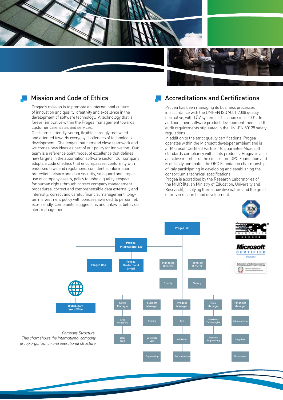

### Mission and Code of Ethics

Progea's mission is to promote an international culture of innovation and quality, creativity and excellence in the development of software technology. A technology that is forever innovative within the Progea management towards customer care, sales and services.

Our team is friendly, young, flexible, strongly motivated and oriented towards everyday challenges of technological development. Challenges that demand close teamwork and welcomes new ideas as part of our policy for innovation. Our team is a reference point model of excellence that defines new targets in the automation software sector. Our company adopts a code of ethics that encompasses: conformity with endorsed laws and regulations, confidential information protection, privacy and data security, safeguard and proper use of company assets, policy to uphold quality, respect for human rights through correct company management procedures, correct and comprehensible data externally and internally, correct and careful financial management, longterm investment policy with bonuses awarded to personnel, eco-friendly, complaints, suggestions and unlawful behaviour alert management.

### Accreditations and Certifications

Progea has been managing its business processes in accordance with the UNI-EN ISO 9001:2008 quality normative, with TÜV system certification since 2001. In addition, their software product development meets all the audit requirements stipulated in the UNI-EN 50128 safety regulations.

In addition to the strict quality certifications, Progea operates within the Microsoft developer ambient and is a "Microsoft Certified Partner" to guarantee Microsoft standards compliancy with all its products. Progea is also an active member of the consortium OPC Foundation and is officially nominated the OPC Foundation chairmanship of Italy participating in developing and establishing the consortium's technical specifications.

Progea is accredited by the Research Laboratories of the MIUR (Italian Ministry of Education, University and Research), testifying their innovative nature and the great efforts in research and development.

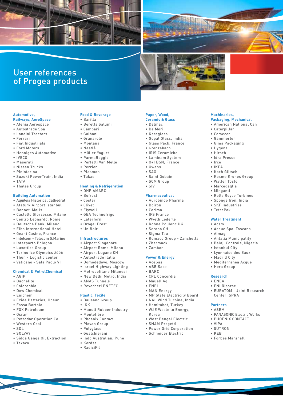



**Machinaries,**

• Caterpillar • Comecer • Gämmerler • Gima Packaging

• Hygena • Hirsch • Idra Presse • Irce • IKEA • Koch Glitsch

**Packaging, Mechanical** • American National Can

• Kosme Krones Group • Walter Tosto • Marcegaglia • Minganti

• Rolls Royce Turbines • Sponge Iron, India • SKF Industries • TetraPak

**Water Treatment**

• Istanbul City • Lyonnaise des Eaux • Madrid City

• Acque Spa, Toscana

• Antalia Municipality • Balaji Controls, Nigeria

• Mediterranea Acque • Hera Group

• EURATOM - Joint Research

• PANASONIC Electric Works • PHOENIX CONTACT

• Acsm

• Aimag

**Research** • ENEA • ENI Risorse

**Partners** • ASEM

• VIPA • SÜTRON • KEB

Center ISPRA

• Forbes Marshall

## User references of Progea products

## **Automotive,**

- **Railways, AeroSpace** • Alenia Aerospace
- • Autostrade Spa
- • Landini Tractors
- • Ferrari
- • Fiat Industrials
- • Ford Motors
- • Henniges Automotive
- • IVECO
- • Maserati
- • Nissan Trucks
- • Pininfarina
- • Suzuki PowerTrain, India
- • TATA
- • Thales Group

#### **Building Automation**

- • Aquileia Historical Cathedral
- • Ataturk Airport Istanbul
- • Bonnet Malls
- • Castello Sforzesco, Milano
- • Centro Leonardo, Rome
- • Deutsche Bank, Milano
- • Elba International Hotel
- • Geant Casino, France
- • Intelcom Telecom S.Marino
- • Interporto Bologna
- • Luxottica Group
- • Torino Ice Olympics 2006
- • Thun Logistic center
- • Vaticano Sala Paolo VI

#### **Chemical & PetrolChemical**

- • AGIP
- • Bachelite
- • Colorobbia
- • Dow Chemical • Enichem
- 
- • Exide Batteries, Hosur
- • Fassa Bortolo • FOX Petroleum
- • Osram
- • Petrodar Operation Co
- • Western Coal
- $\cdot$  SOL
- 
- • SOLVAY
- • Sidda Ganga Oil Extraction
- • Texaco

#### **Food & Beverage**

- • Barilla
- • Beretta Salumi
- • Campari
- • Galbani
- • Granarolo
- • Montana
- • Nestlè
- • Müller Yogurt
- • ParmaReggio
- • Perfetti Van Melle
- • Perrier
- • Plasmon
- • Tukas

#### **Heating & Refrigeration**

- • DHP AMARC
- • Bofrost
- • Coster
- • Clivet
- • Elywell
- • GEA Technofrigo
- • Laterforni
- • Orogel Frost
- • Uniflair

#### **Infrastructures**

- • Airport Singapore
- • Airport Rome-Milano
- • Airport Lugano CH
- • Autostrade Italia
- • Domodedovo, Moscow
- • Israel Highway Lighting
- • Metropolitane Milanesi
- • New Delhi Metro, India
- • ANAS Tunnels
- • Reverberi ENETEC

#### **Plastic, Texile**

- • Bausano Group
- • IKK
- • Manuli Rubber Industry
- • Montefibre
- • Phoenix Contact
- • Piovan Group
- • Polyglass
- • Gualchierani
- • Indo Australian, Pune
- • Kordsa
- • RadiciFil

#### **Paper, Wood, Ceramic & Glass**

- • Delmac
- • De Mori
- • Keraglass

• Owens • SAG

• Boiron • Corima • IFS France • Wyeth Lederle • Rohne Poulenc UK • Serono CH • Sigma Tau

• Zhermack • Zambon

**Power & Energy** • AceGas • ABB Sace • BARC

• CPL Concordia • Mauell Ag • ENEL • MAN Energy

Korea

• Saint Gobain • SCM Group • SIV

**Pharmaceutical** • Aurobindo Pharma

• Romaco Group - Zanchetta

• MP State Electricity Board • NAL Wind Turbine, India • Hamitabat, Turkey • W2E Waste to Energy,

• West Bengal Electric • SNAM Progetti • Power Grid Corporation • Schneider Electric

• Gopal Glass, India • Glass Pack, France • Grenzebach • IRIS Ceramiche • Laminam System • O+I BSN, France